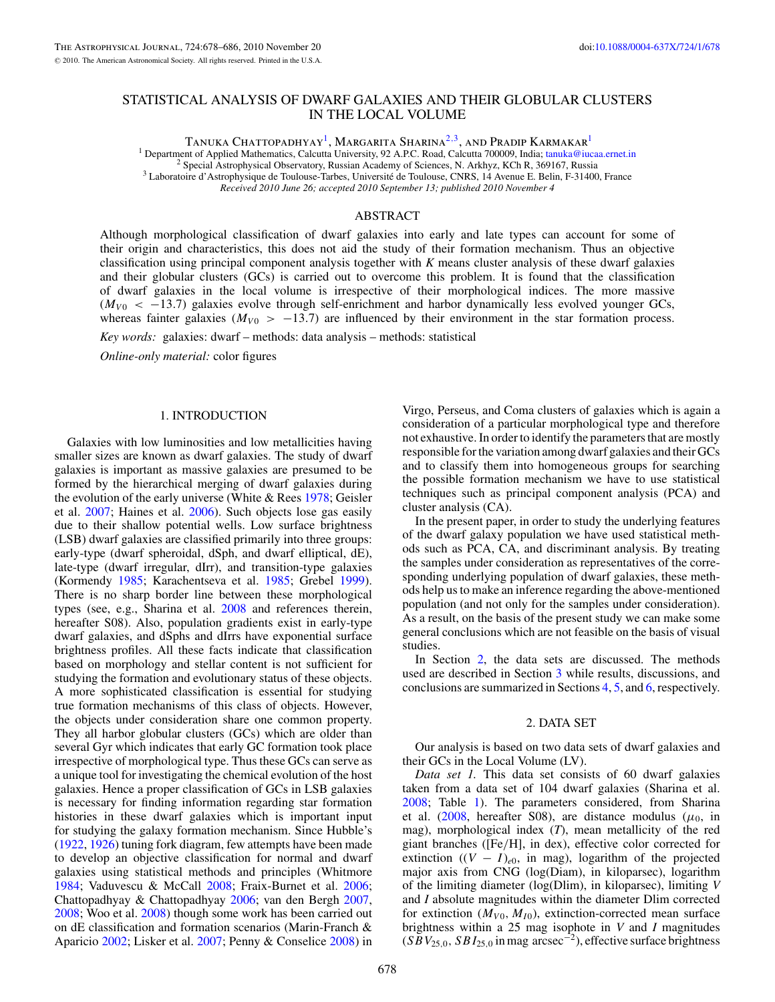# STATISTICAL ANALYSIS OF DWARF GALAXIES AND THEIR GLOBULAR CLUSTERS IN THE LOCAL VOLUME

Tanuka Chattopadhyay1, Margarita Sharina2*,*3, and Pradip Karmakar1

<sup>1</sup> Department of Applied Mathematics, Calcutta University, 92 A.P.C. Road, Calcutta 700009, India; [tanuka@iucaa.ernet.in](mailto:tanuka@iucaa.ernet.in) <sup>2</sup> Special Astrophysical Observatory, Russian Academy of Sciences, N. Arkhyz, KCh R, 369167, Russi

*Received 2010 June 26; accepted 2010 September 13; published 2010 November 4*

# ABSTRACT

Although morphological classification of dwarf galaxies into early and late types can account for some of their origin and characteristics, this does not aid the study of their formation mechanism. Thus an objective classification using principal component analysis together with *K* means cluster analysis of these dwarf galaxies and their globular clusters (GCs) is carried out to overcome this problem. It is found that the classification of dwarf galaxies in the local volume is irrespective of their morphological indices. The more massive ( $M<sub>V0</sub>$  < −13.7) galaxies evolve through self-enrichment and harbor dynamically less evolved younger GCs, whereas fainter galaxies ( $M_{V0}$  > -13.7) are influenced by their environment in the star formation process.

*Key words:* galaxies: dwarf – methods: data analysis – methods: statistical

*Online-only material:* color figures

# 1. INTRODUCTION

Galaxies with low luminosities and low metallicities having smaller sizes are known as dwarf galaxies. The study of dwarf galaxies is important as massive galaxies are presumed to be formed by the hierarchical merging of dwarf galaxies during the evolution of the early universe (White  $& Rees$  [1978;](#page-8-0) Geisler et al. [2007;](#page-7-0) Haines et al. [2006\)](#page-7-0). Such objects lose gas easily due to their shallow potential wells. Low surface brightness (LSB) dwarf galaxies are classified primarily into three groups: early-type (dwarf spheroidal, dSph, and dwarf elliptical, dE), late-type (dwarf irregular, dIrr), and transition-type galaxies (Kormendy [1985;](#page-7-0) Karachentseva et al. [1985;](#page-7-0) Grebel [1999\)](#page-7-0). There is no sharp border line between these morphological types (see, e.g., Sharina et al. [2008](#page-8-0) and references therein, hereafter S08). Also, population gradients exist in early-type dwarf galaxies, and dSphs and dIrrs have exponential surface brightness profiles. All these facts indicate that classification based on morphology and stellar content is not sufficient for studying the formation and evolutionary status of these objects. A more sophisticated classification is essential for studying true formation mechanisms of this class of objects. However, the objects under consideration share one common property. They all harbor globular clusters (GCs) which are older than several Gyr which indicates that early GC formation took place irrespective of morphological type. Thus these GCs can serve as a unique tool for investigating the chemical evolution of the host galaxies. Hence a proper classification of GCs in LSB galaxies is necessary for finding information regarding star formation histories in these dwarf galaxies which is important input for studying the galaxy formation mechanism. Since Hubble's [\(1922,](#page-7-0) [1926\)](#page-7-0) tuning fork diagram, few attempts have been made to develop an objective classification for normal and dwarf galaxies using statistical methods and principles (Whitmore [1984;](#page-8-0) Vaduvescu & McCall [2008;](#page-8-0) Fraix-Burnet et al. [2006;](#page-7-0) Chattopadhyay & Chattopadhyay [2006;](#page-7-0) van den Bergh [2007,](#page-8-0) [2008;](#page-8-0) Woo et al. [2008\)](#page-8-0) though some work has been carried out on dE classification and formation scenarios (Marin-Franch & Aparicio [2002;](#page-7-0) Lisker et al. [2007;](#page-7-0) Penny & Conselice [2008\)](#page-8-0) in

Virgo, Perseus, and Coma clusters of galaxies which is again a consideration of a particular morphological type and therefore not exhaustive. In order to identify the parameters that are mostly responsible for the variation among dwarf galaxies and their GCs and to classify them into homogeneous groups for searching the possible formation mechanism we have to use statistical techniques such as principal component analysis (PCA) and cluster analysis (CA).

In the present paper, in order to study the underlying features of the dwarf galaxy population we have used statistical methods such as PCA, CA, and discriminant analysis. By treating the samples under consideration as representatives of the corresponding underlying population of dwarf galaxies, these methods help us to make an inference regarding the above-mentioned population (and not only for the samples under consideration). As a result, on the basis of the present study we can make some general conclusions which are not feasible on the basis of visual studies.

In Section 2, the data sets are discussed. The methods used are described in Section [3](#page-2-0) while results, discussions, and conclusions are summarized in Sections [4,](#page-3-0) [5,](#page-4-0) and [6,](#page-7-0) respectively.

#### 2. DATA SET

Our analysis is based on two data sets of dwarf galaxies and their GCs in the Local Volume (LV).

*Data set 1.* This data set consists of 60 dwarf galaxies taken from a data set of 104 dwarf galaxies (Sharina et al. [2008;](#page-8-0) Table [1\)](#page-1-0). The parameters considered, from Sharina et al. [\(2008,](#page-8-0) hereafter S08), are distance modulus ( $\mu_0$ , in mag), morphological index (*T*), mean metallicity of the red giant branches ([Fe*/*H], in dex), effective color corrected for extinction  $((V - I)_{e0}$ , in mag), logarithm of the projected major axis from CNG (log(Diam), in kiloparsec), logarithm of the limiting diameter (log(Dlim), in kiloparsec), limiting *V* and *I* absolute magnitudes within the diameter Dlim corrected for extinction  $(M_{V0}, M_{I0})$ , extinction-corrected mean surface brightness within a 25 mag isophote in *V* and *I* magnitudes  $(S\overline{B}V_{25,0}, SBI_{25,0}$  in mag arcsec<sup>-2</sup>), effective surface brightness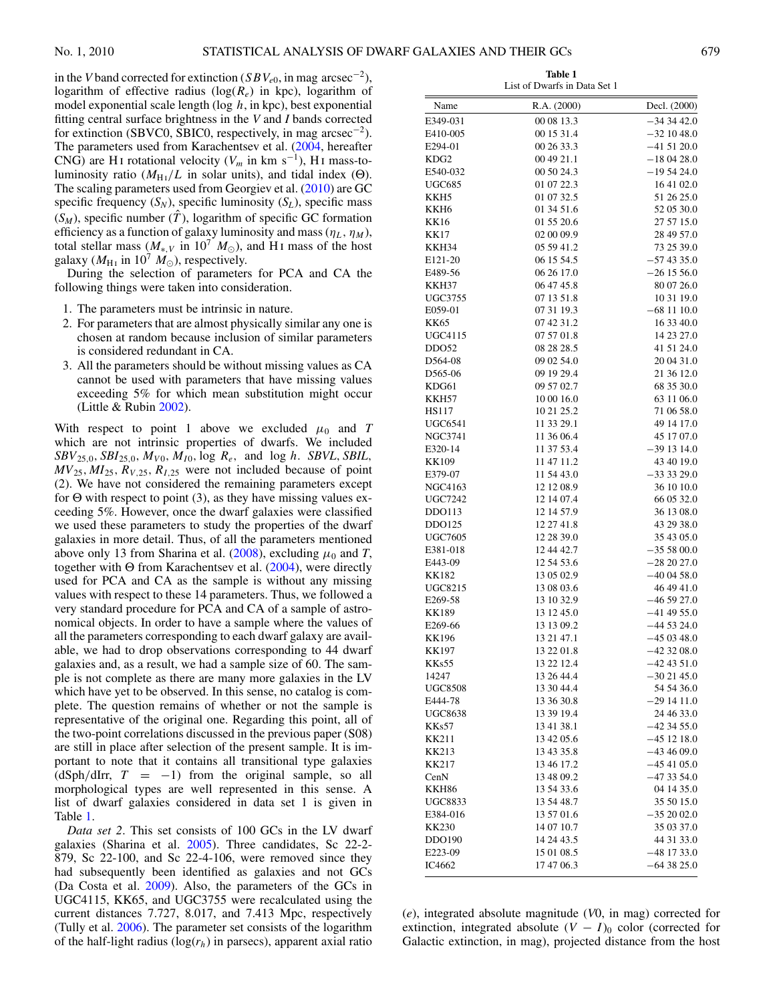<span id="page-1-0"></span>in the *V* band corrected for extinction (*SBV<sub>e0</sub>*, in mag arcsec<sup>−2</sup>), logarithm of effective radius (log(*Re*) in kpc), logarithm of model exponential scale length (log *h*, in kpc), best exponential fitting central surface brightness in the *V* and *I* bands corrected for extinction (SBVC0, SBIC0, respectively, in mag  $\arccos 2$ ). The parameters used from Karachentsev et al. [\(2004,](#page-7-0) hereafter CNG) are H<sub>I</sub> rotational velocity ( $V_m$  in km s<sup>-1</sup>), H<sub>I</sub> mass-toluminosity ratio ( $M_{\text{H}_{\text{I}}}/L$  in solar units), and tidal index (Θ). The scaling parameters used from Georgiev et al. [\(2010\)](#page-7-0) are GC specific frequency  $(S_N)$ , specific luminosity  $(S_L)$ , specific mass  $(S_M)$ , specific number  $(T)$ , logarithm of specific GC formation efficiency as a function of galaxy luminosity and mass  $(\eta_L, \eta_M)$ , total stellar mass ( $M_{*,V}$  in 10<sup>7</sup>  $M_{\odot}$ ), and H<sub>I</sub> mass of the host galaxy ( $M_{\text{H}_{\text{I}}}$  in 10<sup>7</sup>  $M_{\odot}$ ), respectively.

During the selection of parameters for PCA and CA the following things were taken into consideration.

- 1. The parameters must be intrinsic in nature.
- 2. For parameters that are almost physically similar any one is chosen at random because inclusion of similar parameters is considered redundant in CA.
- 3. All the parameters should be without missing values as CA cannot be used with parameters that have missing values exceeding 5% for which mean substitution might occur (Little & Rubin [2002\)](#page-7-0).

With respect to point 1 above we excluded  $\mu_0$  and *T* which are not intrinsic properties of dwarfs. We included *SBV*<sub>25</sub>*,*0*, SBI*<sub>25</sub>*,*0*, M<sub>V</sub>*<sup>0</sup>*, M<sub>I</sub>*<sup>0</sup>*,* log *R<sub>e</sub>,* and log *h*. *SBVL, SBIL,*  $MV_{25}$ ,  $MI_{25}$ ,  $R_{V,25}$ ,  $R_{I,25}$  were not included because of point (2). We have not considered the remaining parameters except for Θ with respect to point (3), as they have missing values exceeding 5%. However, once the dwarf galaxies were classified we used these parameters to study the properties of the dwarf galaxies in more detail. Thus, of all the parameters mentioned above only 13 from Sharina et al.  $(2008)$ , excluding  $\mu_0$  and *T*, together with Θ from Karachentsev et al.  $(2004)$ , were directly used for PCA and CA as the sample is without any missing values with respect to these 14 parameters. Thus, we followed a very standard procedure for PCA and CA of a sample of astronomical objects. In order to have a sample where the values of all the parameters corresponding to each dwarf galaxy are available, we had to drop observations corresponding to 44 dwarf galaxies and, as a result, we had a sample size of 60. The sample is not complete as there are many more galaxies in the LV which have yet to be observed. In this sense, no catalog is complete. The question remains of whether or not the sample is representative of the original one. Regarding this point, all of the two-point correlations discussed in the previous paper (S08) are still in place after selection of the present sample. It is important to note that it contains all transitional type galaxies  $(dSph/dIrr, T = -1)$  from the original sample, so all morphological types are well represented in this sense. A list of dwarf galaxies considered in data set 1 is given in Table 1.

*Data set 2*. This set consists of 100 GCs in the LV dwarf galaxies (Sharina et al. [2005\)](#page-8-0). Three candidates, Sc 22-2- 879, Sc 22-100, and Sc 22-4-106, were removed since they had subsequently been identified as galaxies and not GCs (Da Costa et al. [2009\)](#page-7-0). Also, the parameters of the GCs in UGC4115, KK65, and UGC3755 were recalculated using the current distances 7.727, 8.017, and 7.413 Mpc, respectively (Tully et al. [2006\)](#page-8-0). The parameter set consists of the logarithm of the half-light radius  $(\log(r_h)$  in parsecs), apparent axial ratio

| Name             | R.A. (2000) | Decl. (2000)    |
|------------------|-------------|-----------------|
| E349-031         | 00 08 13.3  | $-343442.0$     |
| E410-005         | 00 15 31.4  | $-321048.0$     |
| E294-01          | 00 26 33.3  | $-415120.0$     |
| KDG <sub>2</sub> | 00 49 21.1  | $-180428.0$     |
| E540-032         | 00 50 24.3  | $-195424.0$     |
| UGC685           | 01 07 22.3  | 16 41 02.0      |
|                  |             |                 |
| KKH5             | 01 07 32.5  | 51 26 25.0      |
| KKH6             | 01 34 51.6  | 52 05 30.0      |
| KK16             | 01 55 20.6  | 27 57 15.0      |
| KK17             | 02 00 09.9  | 28 49 57.0      |
| KKH34            | 05 59 41.2  | 73 25 39.0      |
| E121-20          | 06 15 54.5  | $-574335.0$     |
| E489-56          | 06 26 17.0  | $-261556.0$     |
| KKH37            | 06 47 45.8  | 80 07 26.0      |
| <b>UGC3755</b>   | 07 13 51.8  | 10 31 19.0      |
| E059-01          | 07 31 19.3  | $-68$ 11 10.0   |
| KK65             | 07 42 31.2  | 16 33 40.0      |
| <b>UGC4115</b>   | 07 57 01.8  | 14 23 27.0      |
| DDO52            | 08 28 28.5  | 41 51 24.0      |
| D564-08          | 09 02 54.0  | 20 04 31.0      |
| D565-06          | 09 19 29.4  | 21 36 12.0      |
| KDG61            | 09 57 02.7  | 68 35 30.0      |
| KKH57            | 10 00 16.0  | 63 11 06.0      |
| HS117            | 10 21 25.2  | 71 06 58.0      |
| UGC6541          | 11 33 29.1  | 49 14 17.0      |
| NGC3741          | 11 36 06.4  | 45 17 07.0      |
| E320-14          | 11 37 53.4  | $-391314.0$     |
| KK109            | 11 47 11.2  | 43 40 19.0      |
| E379-07          | 11 54 43.0  | $-33329.0$      |
| NGC4163          | 12 12 08.9  | 36 10 10.0      |
| UGC7242          | 12 14 07.4  | 66 05 32.0      |
| DD0113           | 12 14 57.9  | 36 13 08.0      |
| DDO125           | 12 27 41.8  | 43 29 38.0      |
| <b>UGC7605</b>   | 12 28 39.0  | 35 43 05.0      |
| E381-018         | 12 44 42.7  | $-355800.0$     |
| E443-09          | 12 54 53.6  | $-282027.0$     |
| KK182            | 13 05 02.9  | $-400458.0$     |
| UGC8215          | 13 08 03.6  | 46 49 41.0      |
| E269-58          | 13 10 32.9  | $-465927.0$     |
| <b>KK189</b>     | 13 12 45.0  | $-41$ 49 55.0   |
| E269-66          | 13 13 09.2  | $-445324.0$     |
| KK196            | 13 21 47.1  | $-450348.0$     |
| <b>KK197</b>     | 13 22 01.8  | $-423208.0$     |
| KKs55            | 13 22 12.4  | $-42$ 43 51.0   |
| 14247            | 13 26 44.4  | $-302145.0$     |
| <b>UGC8508</b>   | 13 30 44.4  | 54 54 36.0      |
| E444-78          | 13 36 30.8  | –29 14 11.0     |
| UGC8638          | 13 39 19.4  | 24 46 33.0      |
| KKs57            | 13 41 38.1  | $-423455.0$     |
| <b>KK211</b>     | 13 42 05.6  | $-451218.0$     |
|                  |             |                 |
| KK213            | 13 43 35.8  | $-434609.0$     |
| KK217            | 13 46 17.2  | –45 41 05.0     |
| CenN             | 13 48 09.2  | -47 33 54.0     |
| <b>KKH86</b>     | 13 54 33.6  | 04 14 35.0      |
| <b>UGC8833</b>   | 13 54 48.7  | 35 50 15.0      |
| E384-016         | 13 57 01.6  | $-35\ 20\ 02.0$ |
| KK230            | 14 07 10.7  | 35 03 37.0      |
| DDO190           | 14 24 43.5  | 44 31 33.0      |
| E223-09          | 15 01 08.5  | -48 17 33.0     |
| IC4662           | 17 47 06.3  | $-643825.0$     |

**Table 1** List of Dwarfs in Data Set 1

(*e*), integrated absolute magnitude (*V*0, in mag) corrected for extinction, integrated absolute  $(V - I)$ <sub>0</sub> color (corrected for Galactic extinction, in mag), projected distance from the host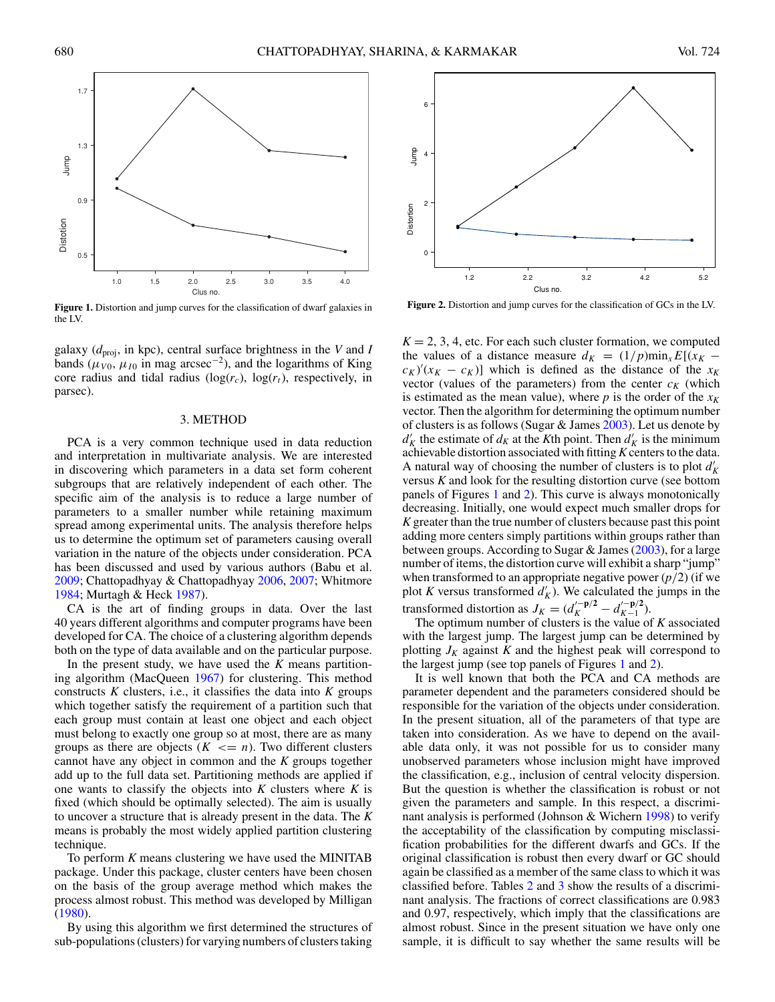<span id="page-2-0"></span>

**Figure 1.** Distortion and jump curves for the classification of dwarf galaxies in the LV.

galaxy  $(d_{\text{proj}})$ , in kpc), central surface brightness in the *V* and *I* bands ( $\mu_{V0}$ ,  $\mu_{I0}$  in mag arcsec<sup>-2</sup>), and the logarithms of King core radius and tidal radius  $(\log(r_c), \log(r_t))$ , respectively, in parsec).

#### 3. METHOD

PCA is a very common technique used in data reduction and interpretation in multivariate analysis. We are interested in discovering which parameters in a data set form coherent subgroups that are relatively independent of each other. The specific aim of the analysis is to reduce a large number of parameters to a smaller number while retaining maximum spread among experimental units. The analysis therefore helps us to determine the optimum set of parameters causing overall variation in the nature of the objects under consideration. PCA has been discussed and used by various authors (Babu et al. [2009;](#page-7-0) Chattopadhyay & Chattopadhyay [2006,](#page-7-0) [2007;](#page-7-0) Whitmore [1984;](#page-8-0) Murtagh & Heck [1987\)](#page-8-0).

CA is the art of finding groups in data. Over the last 40 years different algorithms and computer programs have been developed for CA. The choice of a clustering algorithm depends both on the type of data available and on the particular purpose.

In the present study, we have used the *K* means partitioning algorithm (MacQueen [1967\)](#page-7-0) for clustering. This method constructs  $K$  clusters, i.e., it classifies the data into  $K$  groups which together satisfy the requirement of a partition such that each group must contain at least one object and each object must belong to exactly one group so at most, there are as many groups as there are objects  $(K \leq n)$ . Two different clusters cannot have any object in common and the *K* groups together add up to the full data set. Partitioning methods are applied if one wants to classify the objects into *K* clusters where *K* is fixed (which should be optimally selected). The aim is usually to uncover a structure that is already present in the data. The *K* means is probably the most widely applied partition clustering technique.

To perform *K* means clustering we have used the MINITAB package. Under this package, cluster centers have been chosen on the basis of the group average method which makes the process almost robust. This method was developed by Milligan [\(1980\)](#page-8-0).

By using this algorithm we first determined the structures of sub-populations (clusters) for varying numbers of clusters taking



**Figure 2.** Distortion and jump curves for the classification of GCs in the LV.

 $K = 2, 3, 4$ , etc. For each such cluster formation, we computed the values of a distance measure  $d_K = (1/p) \min_x E[(x_K (c_K)'(x_K - c_K)$ ] which is defined as the distance of the *x<sub>K</sub>* vector (values of the parameters) from the center  $c_K$  (which is estimated as the mean value), where  $p$  is the order of the  $x_K$ vector. Then the algorithm for determining the optimum number of clusters is as follows (Sugar & James [2003\)](#page-8-0). Let us denote by  $d'_{K}$  the estimate of  $d_{K}$  at the *K*th point. Then  $d'_{K}$  is the minimum achievable distortion associated with fitting*K*centers to the data. A natural way of choosing the number of clusters is to plot  $d'_{K}$ versus *K* and look for the resulting distortion curve (see bottom panels of Figures 1 and 2). This curve is always monotonically decreasing. Initially, one would expect much smaller drops for *K* greater than the true number of clusters because past this point adding more centers simply partitions within groups rather than between groups. According to Sugar  $\&$  James [\(2003\)](#page-8-0), for a large number of items, the distortion curve will exhibit a sharp "jump" when transformed to an appropriate negative power  $\left(\frac{p}{2}\right)$  (if we plot *K* versus transformed  $d'_{K}$ ). We calculated the jumps in the transformed distortion as  $J_K = (d_K^{\prime - p/2} - d_{K-1}^{\prime - p/2})$ .<br>The optimum number of clusters is the value of *K* associated

with the largest jump. The largest jump can be determined by plotting  $J_K$  against K and the highest peak will correspond to the largest jump (see top panels of Figures 1 and 2).

It is well known that both the PCA and CA methods are parameter dependent and the parameters considered should be responsible for the variation of the objects under consideration. In the present situation, all of the parameters of that type are taken into consideration. As we have to depend on the available data only, it was not possible for us to consider many unobserved parameters whose inclusion might have improved the classification, e.g., inclusion of central velocity dispersion. But the question is whether the classification is robust or not given the parameters and sample. In this respect, a discriminant analysis is performed (Johnson & Wichern [1998\)](#page-7-0) to verify the acceptability of the classification by computing misclassification probabilities for the different dwarfs and GCs. If the original classification is robust then every dwarf or GC should again be classified as a member of the same class to which it was classified before. Tables [2](#page-3-0) and [3](#page-3-0) show the results of a discriminant analysis. The fractions of correct classifications are 0.983 and 0.97, respectively, which imply that the classifications are almost robust. Since in the present situation we have only one sample, it is difficult to say whether the same results will be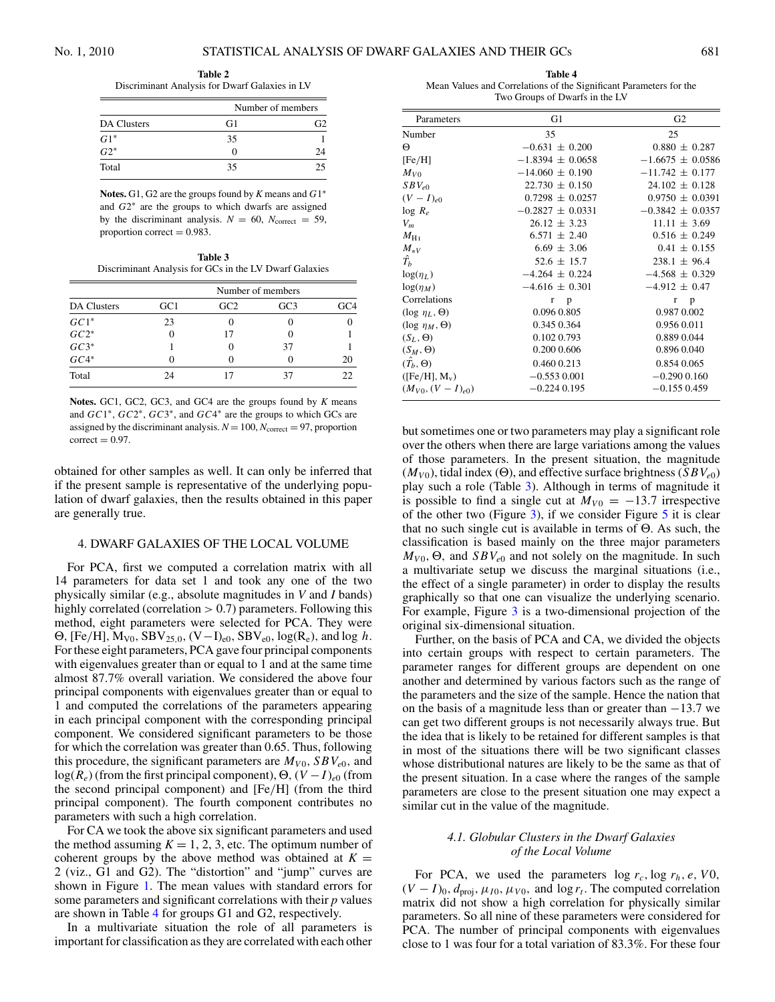<span id="page-3-0"></span>**Table 2** Discriminant Analysis for Dwarf Galaxies in LV

| <b>DA Clusters</b> | Number of members |    |
|--------------------|-------------------|----|
|                    | G1                |    |
| $G1*$              | 35                |    |
| $\overline{G2^*}$  | 0                 | 7Δ |
| Total              | 35                | 25 |

**Notes.** G1, G2 are the groups found by *K* means and *G*1∗ and *G*2∗ are the groups to which dwarfs are assigned by the discriminant analysis.  $N = 60$ ,  $N_{\text{correct}} = 59$ , proportion correct  $= 0.983$ .

**Table 3** Discriminant Analysis for GCs in the LV Dwarf Galaxies

| DA Clusters                        | Number of members |     |     |     |
|------------------------------------|-------------------|-----|-----|-----|
|                                    | GC1               | GC2 | GC3 | GC4 |
| $GC1*$                             | 23                |     |     |     |
|                                    |                   |     |     |     |
| $\mathit{GC2}^* \\ \mathit{GC3}^*$ |                   |     | 37  |     |
| $G C4*$                            |                   |     |     | 20  |
| Total                              | 24                |     |     |     |

**Notes.** GC1, GC2, GC3, and GC4 are the groups found by *K* means and *GC*1∗, *GC*2∗, *GC*3∗, and *GC*4∗ are the groups to which GCs are assigned by the discriminant analysis.  $N = 100$ ,  $N_{\text{correct}} = 97$ , proportion  $correct = 0.97$ .

obtained for other samples as well. It can only be inferred that if the present sample is representative of the underlying population of dwarf galaxies, then the results obtained in this paper are generally true.

# 4. DWARF GALAXIES OF THE LOCAL VOLUME

For PCA, first we computed a correlation matrix with all 14 parameters for data set 1 and took any one of the two physically similar (e.g., absolute magnitudes in *V* and *I* bands) highly correlated (correlation *>* 0.7) parameters. Following this method, eight parameters were selected for PCA. They were  $\Theta$ *,* [Fe/H]*,*  $M_{V0}$ *, SBV*<sub>25*,*0</sub>*,* (V−I)<sub>e0</sub>*, SBV*<sub>e0</sub>*,* log(R<sub>e</sub>)*,* and log *h*. For these eight parameters, PCA gave four principal components with eigenvalues greater than or equal to 1 and at the same time almost 87.7% overall variation. We considered the above four principal components with eigenvalues greater than or equal to 1 and computed the correlations of the parameters appearing in each principal component with the corresponding principal component. We considered significant parameters to be those for which the correlation was greater than 0.65. Thus, following this procedure, the significant parameters are  $M_{V0}$ ,  $SBV_{e0}$ , and log(*Re*) (from the first principal component), Θ*,*(*V* −*I* )*<sup>e</sup>*<sup>0</sup> (from the second principal component) and [Fe*/*H] (from the third principal component). The fourth component contributes no parameters with such a high correlation.

For CA we took the above six significant parameters and used the method assuming  $K = 1, 2, 3$ , etc. The optimum number of coherent groups by the above method was obtained at  $K =$ 2 (viz., G1 and G2). The "distortion" and "jump" curves are shown in Figure [1.](#page-2-0) The mean values with standard errors for some parameters and significant correlations with their *p* values are shown in Table 4 for groups G1 and G2, respectively.

In a multivariate situation the role of all parameters is important for classification as they are correlated with each other

**Table 4** Mean Values and Correlations of the Significant Parameters for the Two Groups of Dwarfs in the LV

| Parameters                 | G1                   | G <sub>2</sub>       |
|----------------------------|----------------------|----------------------|
| Number                     | 35                   | 25                   |
| Θ                          | $-0.631 \pm 0.200$   | $0.880 \pm 0.287$    |
| [Fe/H]                     | $-1.8394 \pm 0.0658$ | $-1.6675 \pm 0.0586$ |
| $M_{V0}$                   | $-14.060 \pm 0.190$  | $-11.742 \pm 0.177$  |
| $SBV_{e0}$                 | $22.730 \pm 0.150$   | $24.102 \pm 0.128$   |
| $(V-I)_{e0}$               | $0.7298 \pm 0.0257$  | $0.9750 \pm 0.0391$  |
| $log R_e$                  | $-0.2827 \pm 0.0331$ | $-0.3842 \pm 0.0357$ |
| $V_m$                      | $26.12 \pm 3.23$     | $11.11 \pm 3.69$     |
| $M_{\rm H{\,\textsc{i}}}$  | $6.571 \pm 2.40$     | $0.516 \pm 0.249$    |
|                            | $6.69 \pm 3.06$      | $0.41 \pm 0.155$     |
| $\frac{M_{*V}}{\hat{T}_b}$ | $52.6 \pm 15.7$      | $238.1 \pm 96.4$     |
| $log(\eta_L)$              | $-4.264 \pm 0.224$   | $-4.568 \pm 0.329$   |
| $log(\eta_M)$              | $-4.616 \pm 0.301$   | $-4.912 \pm 0.47$    |
| Correlations               | r<br>$\mathbf{p}$    | p<br>r               |
| $(\log \eta_L, \Theta)$    | 0.096 0.805          | 0.987 0.002          |
| $(\log \eta_M, \Theta)$    | 0.345 0.364          | 0.956 0.011          |
| $(S_L, \Theta)$            | 0.102 0.793          | 0.889 0.044          |
| $(S_M, \Theta)$            | 0.200 0.606          | 0.896 0.040          |
| $(\hat{T}_b, \Theta)$      | 0.460 0.213          | 0.854 0.065          |
| $([Fe/H], M_v)$            | $-0.5530.001$        | $-0.290$ 0.160       |
| $(M_{V0}, (V-I)_{e0})$     | $-0.224$ 0.195       | $-0.1550.459$        |
|                            |                      |                      |

but sometimes one or two parameters may play a significant role over the others when there are large variations among the values of those parameters. In the present situation, the magnitude  $(M_{V0})$ , tidal index (Θ), and effective surface brightness (*SBV<sub>e0</sub>*) play such a role (Table 3). Although in terms of magnitude it is possible to find a single cut at  $M_{V0} = -13.7$  irrespective of the other two (Figure [3\)](#page-4-0), if we consider Figure  $5$  it is clear that no such single cut is available in terms of Θ. As such, the classification is based mainly on the three major parameters  $M_{V0}$ ,  $\Theta$ , and  $SBV_{e0}$  and not solely on the magnitude. In such a multivariate setup we discuss the marginal situations (i.e., the effect of a single parameter) in order to display the results graphically so that one can visualize the underlying scenario. For example, Figure [3](#page-4-0) is a two-dimensional projection of the original six-dimensional situation.

Further, on the basis of PCA and CA, we divided the objects into certain groups with respect to certain parameters. The parameter ranges for different groups are dependent on one another and determined by various factors such as the range of the parameters and the size of the sample. Hence the nation that on the basis of a magnitude less than or greater than −13.7 we can get two different groups is not necessarily always true. But the idea that is likely to be retained for different samples is that in most of the situations there will be two significant classes whose distributional natures are likely to be the same as that of the present situation. In a case where the ranges of the sample parameters are close to the present situation one may expect a similar cut in the value of the magnitude.

# *4.1. Globular Clusters in the Dwarf Galaxies of the Local Volume*

For PCA, we used the parameters  $\log r_c$ ,  $\log r_h$ , *e*, *V*0,  $(V - I)_{0}$ ,  $d_{\text{proj}}$ ,  $\mu_{I0}$ ,  $\mu_{V0}$ , and  $\log r_t$ . The computed correlation matrix did not show a high correlation for physically similar parameters. So all nine of these parameters were considered for PCA. The number of principal components with eigenvalues close to 1 was four for a total variation of 83.3%. For these four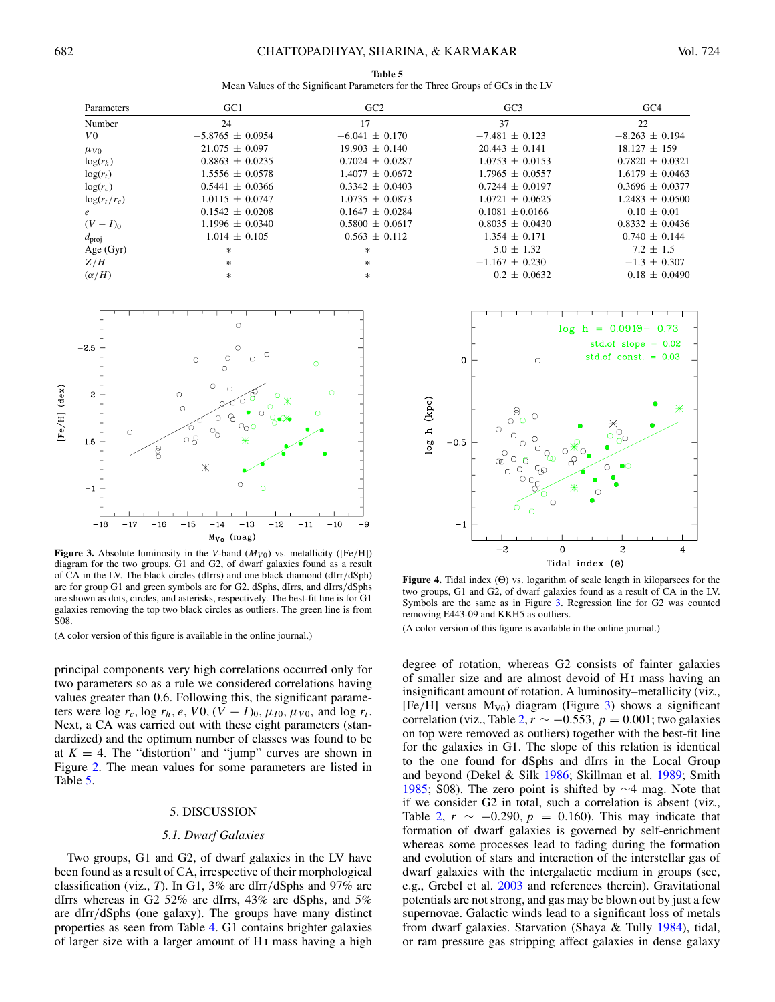**Table 5** Mean Values of the Significant Parameters for the Three Groups of GCs in the LV

<span id="page-4-0"></span>

| Parameters        | GC <sub>1</sub>      | GC2                 | GC <sub>3</sub>     | GC4                 |
|-------------------|----------------------|---------------------|---------------------|---------------------|
| Number            | 24                   | 17                  | 37                  | 22                  |
| V <sub>0</sub>    | $-5.8765 \pm 0.0954$ | $-6.041 \pm 0.170$  | $-7.481 \pm 0.123$  | $-8.263 \pm 0.194$  |
| $\mu_{V0}$        | $21.075 \pm 0.097$   | $19.903 \pm 0.140$  | $20.443 \pm 0.141$  | $18.127 \pm 159$    |
| $log(r_h)$        | $0.8863 \pm 0.0235$  | $0.7024 \pm 0.0287$ | $1.0753 \pm 0.0153$ | $0.7820 \pm 0.0321$ |
| $log(r_t)$        | $1.5556 \pm 0.0578$  | $1.4077 + 0.0672$   | $1.7965 \pm 0.0557$ | $1.6179 \pm 0.0463$ |
| $log(r_c)$        | $0.5441 \pm 0.0366$  | $0.3342 \pm 0.0403$ | $0.7244 \pm 0.0197$ | $0.3696 \pm 0.0377$ |
| $\log(r_t/r_c)$   | $1.0115 \pm 0.0747$  | $1.0735 \pm 0.0873$ | $1.0721 \pm 0.0625$ | $1.2483 \pm 0.0500$ |
| $\epsilon$        | $0.1542 \pm 0.0208$  | $0.1647 + 0.0284$   | $0.1081 + 0.0166$   | $0.10 \pm 0.01$     |
| $(V-I)_{0}$       | $1.1996 \pm 0.0340$  | $0.5800 \pm 0.0617$ | $0.8035 \pm 0.0430$ | $0.8332 \pm 0.0436$ |
| $d_{\text{proj}}$ | $1.014 \pm 0.105$    | $0.563 \pm 0.112$   | $1.354 \pm 0.171$   | $0.740 \pm 0.144$   |
| Age $(Gyr)$       | $*$                  | *                   | $5.0 \pm 1.32$      | $7.2 \pm 1.5$       |
| Z/H               | $*$                  | $*$                 | $-1.167 \pm 0.230$  | $-1.3 \pm 0.307$    |
| $(\alpha/H)$      | $*$                  | $\ast$              | $0.2 \pm 0.0632$    | $0.18 \pm 0.0490$   |



**Figure 3.** Absolute luminosity in the *V*-band  $(M_{V0})$  vs. metallicity ([Fe/H]) diagram for the two groups, G1 and G2, of dwarf galaxies found as a result of CA in the LV. The black circles (dIrrs) and one black diamond (dIrr*/*dSph) are for group G1 and green symbols are for G2. dSphs, dIrrs, and dIrrs*/*dSphs are shown as dots, circles, and asterisks, respectively. The best-fit line is for G1 galaxies removing the top two black circles as outliers. The green line is from S08.

(A color version of this figure is available in the online journal.)

principal components very high correlations occurred only for two parameters so as a rule we considered correlations having values greater than 0.6. Following this, the significant parameters were log  $r_c$ , log  $r_h$ , e, V0,  $(V - I)_0$ ,  $\mu_{I0}$ ,  $\mu_{V0}$ , and log  $r_t$ . Next, a CA was carried out with these eight parameters (standardized) and the optimum number of classes was found to be at  $K = 4$ . The "distortion" and "jump" curves are shown in Figure [2.](#page-2-0) The mean values for some parameters are listed in Table 5.

#### 5. DISCUSSION

## *5.1. Dwarf Galaxies*

Two groups, G1 and G2, of dwarf galaxies in the LV have been found as a result of CA, irrespective of their morphological classification (viz., *T*). In G1, 3% are dIrr*/*dSphs and 97% are dIrrs whereas in G2 52% are dIrrs, 43% are dSphs, and 5% are dIrr*/*dSphs (one galaxy). The groups have many distinct properties as seen from Table [4.](#page-3-0) G1 contains brighter galaxies of larger size with a larger amount of H i mass having a high



**Figure 4.** Tidal index (Θ) vs. logarithm of scale length in kiloparsecs for the two groups, G1 and G2, of dwarf galaxies found as a result of CA in the LV. Symbols are the same as in Figure 3. Regression line for G2 was counted removing E443-09 and KKH5 as outliers.

(A color version of this figure is available in the online journal.)

degree of rotation, whereas G2 consists of fainter galaxies of smaller size and are almost devoid of H i mass having an insignificant amount of rotation. A luminosity–metallicity (viz.,  $[Fe/H]$  versus  $M_{V0}$ ) diagram (Figure 3) shows a significant correlation (viz., Table [2,](#page-3-0)  $r \sim -0.553$ ,  $p = 0.001$ ; two galaxies on top were removed as outliers) together with the best-fit line for the galaxies in G1. The slope of this relation is identical to the one found for dSphs and dIrrs in the Local Group and beyond (Dekel & Silk [1986;](#page-7-0) Skillman et al. [1989;](#page-8-0) Smith [1985;](#page-8-0) S08). The zero point is shifted by ∼4 mag. Note that if we consider G2 in total, such a correlation is absent (viz., Table [2,](#page-3-0) *r* ∼ −0.290, *p* = 0.160). This may indicate that formation of dwarf galaxies is governed by self-enrichment whereas some processes lead to fading during the formation and evolution of stars and interaction of the interstellar gas of dwarf galaxies with the intergalactic medium in groups (see, e.g., Grebel et al. [2003](#page-7-0) and references therein). Gravitational potentials are not strong, and gas may be blown out by just a few supernovae. Galactic winds lead to a significant loss of metals from dwarf galaxies. Starvation (Shaya & Tully [1984\)](#page-8-0), tidal, or ram pressure gas stripping affect galaxies in dense galaxy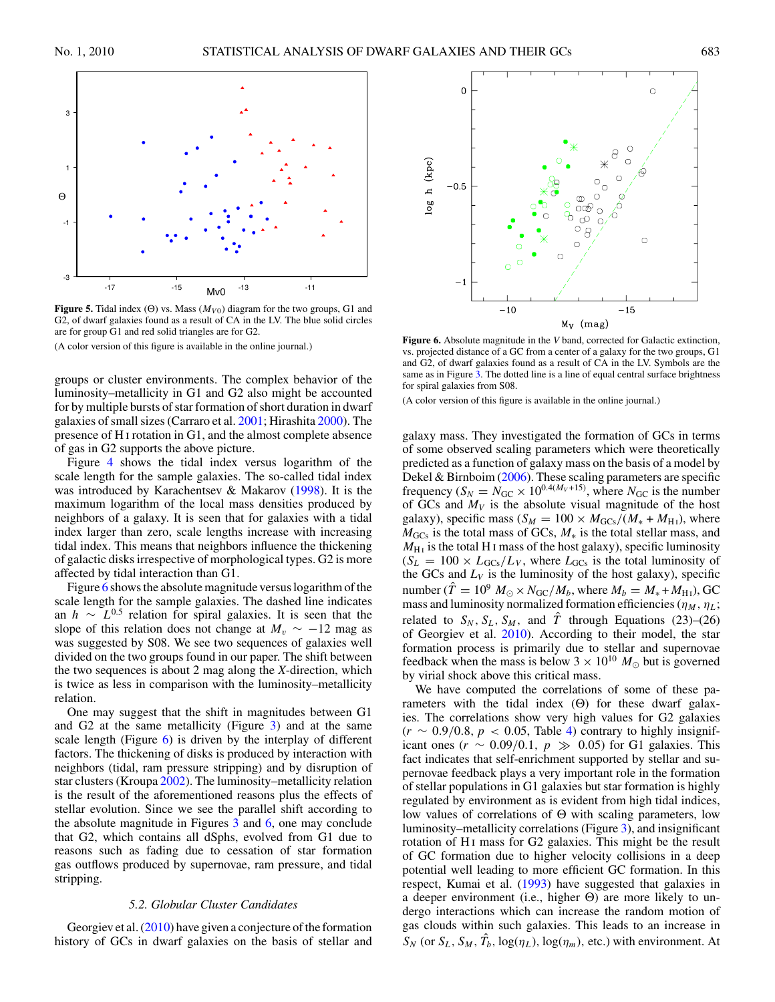<span id="page-5-0"></span>

**Figure 5.** Tidal index (Θ) vs. Mass  $(M<sub>V0</sub>)$  diagram for the two groups, G1 and G2, of dwarf galaxies found as a result of CA in the LV. The blue solid circles are for group G1 and red solid triangles are for G2. (A color version of this figure is available in the online journal.)

groups or cluster environments. The complex behavior of the luminosity–metallicity in G1 and G2 also might be accounted for by multiple bursts of star formation of short duration in dwarf galaxies of small sizes (Carraro et al. [2001;](#page-7-0) Hirashita [2000\)](#page-7-0). The presence of H i rotation in G1, and the almost complete absence of gas in G2 supports the above picture.

Figure [4](#page-4-0) shows the tidal index versus logarithm of the scale length for the sample galaxies. The so-called tidal index was introduced by Karachentsev & Makarov [\(1998\)](#page-7-0). It is the maximum logarithm of the local mass densities produced by neighbors of a galaxy. It is seen that for galaxies with a tidal index larger than zero, scale lengths increase with increasing tidal index. This means that neighbors influence the thickening of galactic disks irrespective of morphological types. G2 is more affected by tidal interaction than G1.

Figure 6 shows the absolute magnitude versus logarithm of the scale length for the sample galaxies. The dashed line indicates an *<sup>h</sup>* <sup>∼</sup> *<sup>L</sup>*0*.*<sup>5</sup> relation for spiral galaxies. It is seen that the slope of this relation does not change at  $M_v \sim -12$  mag as was suggested by S08. We see two sequences of galaxies well divided on the two groups found in our paper. The shift between the two sequences is about 2 mag along the *X*-direction, which is twice as less in comparison with the luminosity–metallicity relation.

One may suggest that the shift in magnitudes between G1 and G2 at the same metallicity (Figure [3\)](#page-4-0) and at the same scale length (Figure  $6$ ) is driven by the interplay of different factors. The thickening of disks is produced by interaction with neighbors (tidal, ram pressure stripping) and by disruption of star clusters (Kroupa [2002\)](#page-7-0). The luminosity–metallicity relation is the result of the aforementioned reasons plus the effects of stellar evolution. Since we see the parallel shift according to the absolute magnitude in Figures  $3$  and  $6$ , one may conclude that G2, which contains all dSphs, evolved from G1 due to reasons such as fading due to cessation of star formation gas outflows produced by supernovae, ram pressure, and tidal stripping.

# *5.2. Globular Cluster Candidates*

Georgiev et al. [\(2010\)](#page-7-0) have given a conjecture of the formation history of GCs in dwarf galaxies on the basis of stellar and



**Figure 6.** Absolute magnitude in the *V* band, corrected for Galactic extinction, vs. projected distance of a GC from a center of a galaxy for the two groups, G1 and G2, of dwarf galaxies found as a result of CA in the LV. Symbols are the same as in Figure  $\overline{3}$ . The dotted line is a line of equal central surface brightness for spiral galaxies from S08.

(A color version of this figure is available in the online journal.)

galaxy mass. They investigated the formation of GCs in terms of some observed scaling parameters which were theoretically predicted as a function of galaxy mass on the basis of a model by Dekel & Birnboim [\(2006\)](#page-7-0). These scaling parameters are specific frequency ( $S_N = N_{\text{GC}} \times 10^{0.4(M_V+15)}$ , where  $N_{\text{GC}}$  is the number of GCs and  $M_V$  is the absolute visual magnitude of the host galaxy), specific mass ( $S_M = 100 \times M_{GCs}/(M_* + M_{H1})$ , where *M*<sub>GCs</sub> is the total mass of GCs, *M*<sup>∗</sup> is the total stellar mass, and  $M_{\text{H}_{\text{I}}}$  is the total H<sub>I</sub> mass of the host galaxy), specific luminosity  $(S_L = 100 \times L_{GCs}/L_V$ , where  $L_{GCs}$  is the total luminosity of the GCs and  $L_V$  is the luminosity of the host galaxy), specific number ( $\hat{T} = 10^9$   $M_\odot \times N_{\text{GC}}/M_b$ , where  $M_b = M_* + M_{\text{H1}}$ ), GC mass and luminosity normalized formation efficiencies ( $\eta_M$ ,  $\eta_L$ ; related to  $S_N$ ,  $S_L$ ,  $S_M$ , and  $\hat{T}$  through Equations (23)–(26) of Georgiev et al. [2010\)](#page-7-0). According to their model, the star formation process is primarily due to stellar and supernovae feedback when the mass is below  $3 \times 10^{10} M_{\odot}$  but is governed by virial shock above this critical mass.

We have computed the correlations of some of these parameters with the tidal index  $(\Theta)$  for these dwarf galaxies. The correlations show very high values for G2 galaxies (*r* ∼ 0*.*9*/*0*.*8*,p <* 0*.*05, Table [4\)](#page-3-0) contrary to highly insignificant ones ( $r \sim 0.09/0.1$ ,  $p \gg 0.05$ ) for G1 galaxies. This fact indicates that self-enrichment supported by stellar and supernovae feedback plays a very important role in the formation of stellar populations in G1 galaxies but star formation is highly regulated by environment as is evident from high tidal indices, low values of correlations of Θ with scaling parameters, low luminosity–metallicity correlations (Figure [3\)](#page-4-0), and insignificant rotation of H<sub>I</sub> mass for G<sub>2</sub> galaxies. This might be the result of GC formation due to higher velocity collisions in a deep potential well leading to more efficient GC formation. In this respect, Kumai et al. [\(1993\)](#page-7-0) have suggested that galaxies in a deeper environment (i.e., higher Θ) are more likely to undergo interactions which can increase the random motion of gas clouds within such galaxies. This leads to an increase in  $S_N$  (or  $S_L$ ,  $S_M$ ,  $T_b$ ,  $\log(\eta_L)$ ,  $\log(\eta_m)$ , etc.) with environment. At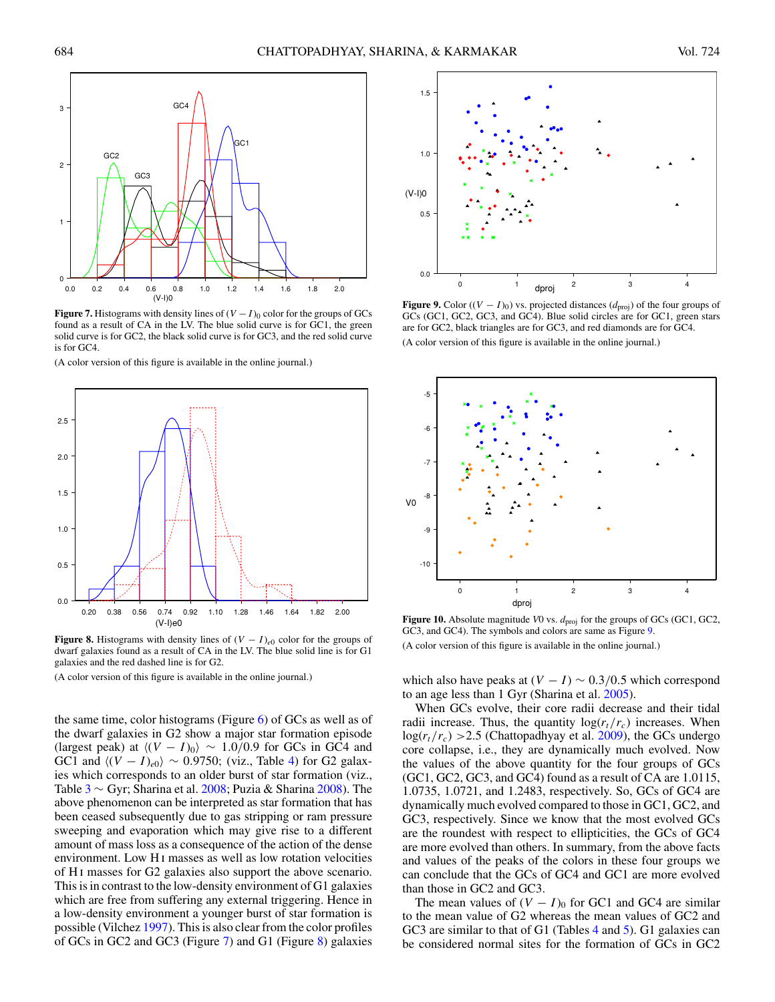<span id="page-6-0"></span>

**Figure 7.** Histograms with density lines of  $(V - I)$ <sup>0</sup> color for the groups of GCs found as a result of CA in the LV. The blue solid curve is for GC1, the green solid curve is for GC2, the black solid curve is for GC3, and the red solid curve is for GC4.

(A color version of this figure is available in the online journal.)



**Figure 8.** Histograms with density lines of  $(V - I)_{e0}$  color for the groups of dwarf galaxies found as a result of CA in the LV. The blue solid line is for G1 galaxies and the red dashed line is for G2.

(A color version of this figure is available in the online journal.)

the same time, color histograms (Figure [6\)](#page-5-0) of GCs as well as of the dwarf galaxies in G2 show a major star formation episode (largest peak) at  $\langle (V - I)_0 \rangle \sim 1.0/0.9$  for GCs in GC4 and GC1 and  $\langle (V - I)_{e0} \rangle \sim 0.9750$ ; (viz., Table [4\)](#page-3-0) for G2 galaxies which corresponds to an older burst of star formation (viz., Table [3](#page-3-0)  $\sim$  Gyr; Sharina et al. [2008;](#page-8-0) Puzia & Sharina [2008\)](#page-8-0). The above phenomenon can be interpreted as star formation that has been ceased subsequently due to gas stripping or ram pressure sweeping and evaporation which may give rise to a different amount of mass loss as a consequence of the action of the dense environment. Low H<sub>I</sub> masses as well as low rotation velocities of H i masses for G2 galaxies also support the above scenario. This is in contrast to the low-density environment of G1 galaxies which are free from suffering any external triggering. Hence in a low-density environment a younger burst of star formation is possible (Vilchez [1997\)](#page-8-0). This is also clear from the color profiles of GCs in GC2 and GC3 (Figure 7) and G1 (Figure 8) galaxies



**Figure 9.** Color ( $(V - I)_0$ ) vs. projected distances ( $d_{\text{proj}}$ ) of the four groups of GCs (GC1, GC2, GC3, and GC4). Blue solid circles are for GC1, green stars are for GC2, black triangles are for GC3, and red diamonds are for GC4. (A color version of this figure is available in the online journal.)



**Figure 10.** Absolute magnitude *V*0 vs.  $d_{\text{proj}}$  for the groups of GCs (GC1, GC2, GC3, and GC4). The symbols and colors are same as Figure 9. (A color version of this figure is available in the online journal.)

which also have peaks at  $(V - I) \sim 0.3/0.5$  which correspond to an age less than 1 Gyr (Sharina et al. [2005\)](#page-8-0).

When GCs evolve, their core radii decrease and their tidal radii increase. Thus, the quantity  $log(r_t/r_c)$  increases. When  $log(r_t/r_c)$  > 2.5 (Chattopadhyay et al. [2009\)](#page-7-0), the GCs undergo core collapse, i.e., they are dynamically much evolved. Now the values of the above quantity for the four groups of GCs (GC1, GC2, GC3, and GC4) found as a result of CA are 1.0115, 1.0735, 1.0721, and 1.2483, respectively. So, GCs of GC4 are dynamically much evolved compared to those in GC1, GC2, and GC3, respectively. Since we know that the most evolved GCs are the roundest with respect to ellipticities, the GCs of GC4 are more evolved than others. In summary, from the above facts and values of the peaks of the colors in these four groups we can conclude that the GCs of GC4 and GC1 are more evolved than those in GC2 and GC3.

The mean values of  $(V - I)$ <sup>0</sup> for GC1 and GC4 are similar to the mean value of G2 whereas the mean values of GC2 and GC3 are similar to that of G1 (Tables [4](#page-3-0) and [5\)](#page-4-0). G1 galaxies can be considered normal sites for the formation of GCs in GC2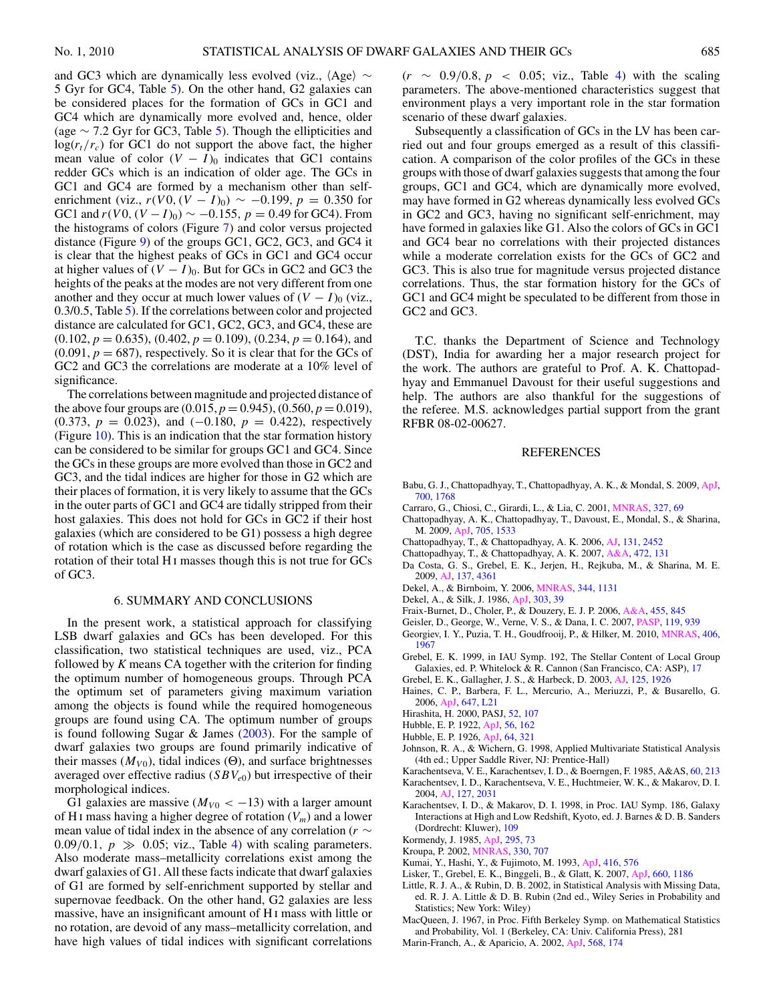<span id="page-7-0"></span>and GC3 which are dynamically less evolved (viz.,  $\langle \text{Age} \rangle \sim$ 5 Gyr for GC4, Table [5\)](#page-4-0). On the other hand, G2 galaxies can be considered places for the formation of GCs in GC1 and GC4 which are dynamically more evolved and, hence, older (age ∼ 7.2 Gyr for GC3, Table [5\)](#page-4-0). Though the ellipticities and  $log(r_t/r_c)$  for GC1 do not support the above fact, the higher mean value of color  $(V - I)$ <sup>0</sup> indicates that GC1 contains redder GCs which is an indication of older age. The GCs in GC1 and GC4 are formed by a mechanism other than selfenrichment (viz.,  $r(V0, (V - I)_0) \sim -0.199$ ,  $p = 0.350$  for GC1 and  $r(V0, (V-I)_0) \sim -0.155$ ,  $p = 0.49$  for GC4). From the histograms of colors (Figure [7\)](#page-6-0) and color versus projected distance (Figure [9\)](#page-6-0) of the groups GC1, GC2, GC3, and GC4 it is clear that the highest peaks of GCs in GC1 and GC4 occur at higher values of  $(V - I)$ <sub>0</sub>. But for GCs in GC2 and GC3 the heights of the peaks at the modes are not very different from one another and they occur at much lower values of  $(V - I)$ <sub>0</sub> (viz., 0.3/0.5, Table [5\)](#page-4-0). If the correlations between color and projected distance are calculated for GC1, GC2, GC3, and GC4, these are (0.102, *p* = 0.635), (0.402, *p* = 0.109), (0.234, *p* = 0.164), and  $(0.091, p = 687)$ , respectively. So it is clear that for the GCs of GC2 and GC3 the correlations are moderate at a 10% level of significance.

The correlations between magnitude and projected distance of the above four groups are  $(0.015, p = 0.945)$ ,  $(0.560, p = 0.019)$ , (0.373, *p* = 0.023), and (−0.180, *p* = 0.422), respectively (Figure [10\)](#page-6-0). This is an indication that the star formation history can be considered to be similar for groups GC1 and GC4. Since the GCs in these groups are more evolved than those in GC2 and GC3, and the tidal indices are higher for those in G2 which are their places of formation, it is very likely to assume that the GCs in the outer parts of GC1 and GC4 are tidally stripped from their host galaxies. This does not hold for GCs in GC2 if their host galaxies (which are considered to be G1) possess a high degree of rotation which is the case as discussed before regarding the rotation of their total H<sub>I</sub> masses though this is not true for GCs of GC3.

#### 6. SUMMARY AND CONCLUSIONS

In the present work, a statistical approach for classifying LSB dwarf galaxies and GCs has been developed. For this classification, two statistical techniques are used, viz., PCA followed by *K* means CA together with the criterion for finding the optimum number of homogeneous groups. Through PCA the optimum set of parameters giving maximum variation among the objects is found while the required homogeneous groups are found using CA. The optimum number of groups is found following Sugar & James [\(2003\)](#page-8-0). For the sample of dwarf galaxies two groups are found primarily indicative of their masses  $(M_{V0})$ , tidal indices  $(\Theta)$ , and surface brightnesses averaged over effective radius (*SBVe*0) but irrespective of their morphological indices.

G1 galaxies are massive  $(M_{V0} < -13)$  with a larger amount of H<sub>I</sub> mass having a higher degree of rotation  $(V_m)$  and a lower mean value of tidal index in the absence of any correlation (*r* ∼  $0.09/0.1$ ,  $p \gg 0.05$ ; viz., Table [4\)](#page-3-0) with scaling parameters. Also moderate mass–metallicity correlations exist among the dwarf galaxies of G1. All these facts indicate that dwarf galaxies of G1 are formed by self-enrichment supported by stellar and supernovae feedback. On the other hand, G2 galaxies are less massive, have an insignificant amount of H i mass with little or no rotation, are devoid of any mass–metallicity correlation, and have high values of tidal indices with significant correlations

(*r* ∼ 0*.*9*/*0*.*8*,p <* 0*.*05; viz., Table [4\)](#page-3-0) with the scaling parameters. The above-mentioned characteristics suggest that environment plays a very important role in the star formation scenario of these dwarf galaxies.

Subsequently a classification of GCs in the LV has been carried out and four groups emerged as a result of this classification. A comparison of the color profiles of the GCs in these groups with those of dwarf galaxies suggests that among the four groups, GC1 and GC4, which are dynamically more evolved, may have formed in G2 whereas dynamically less evolved GCs in GC2 and GC3, having no significant self-enrichment, may have formed in galaxies like G1. Also the colors of GCs in GC1 and GC4 bear no correlations with their projected distances while a moderate correlation exists for the GCs of GC2 and GC3. This is also true for magnitude versus projected distance correlations. Thus, the star formation history for the GCs of GC1 and GC4 might be speculated to be different from those in GC2 and GC3.

T.C. thanks the Department of Science and Technology (DST), India for awarding her a major research project for the work. The authors are grateful to Prof. A. K. Chattopadhyay and Emmanuel Davoust for their useful suggestions and help. The authors are also thankful for the suggestions of the referee. M.S. acknowledges partial support from the grant RFBR 08-02-00627.

#### REFERENCES

- Babu, G. J., Chattopadhyay, T., Chattopadhyay, A. K., & Mondal, S. 2009, [ApJ,](http://dx.doi.org/10.1088/0004-637X/700/2/1768) [700, 1768](http://adsabs.harvard.edu/abs/2009ApJ...700.1768B)
- Carraro, G., Chiosi, C., Girardi, L., & Lia, C. 2001, [MNRAS,](http://dx.doi.org/10.1046/j.1365-8711.2001.04633.x) [327, 69](http://adsabs.harvard.edu/abs/2001MNRAS.327...69C)
- Chattopadhyay, A. K., Chattopadhyay, T., Davoust, E., Mondal, S., & Sharina, M. 2009, [ApJ,](http://dx.doi.org/10.1088/0004-637X/705/2/1533) [705, 1533](http://adsabs.harvard.edu/abs/2009ApJ...705.1533C)
- Chattopadhyay, T., & Chattopadhyay, A. K. 2006, [AJ,](http://dx.doi.org/10.1086/503160) [131, 2452](http://adsabs.harvard.edu/abs/2006AJ....131.2452C)
- Chattopadhyay, T., & Chattopadhyay, A. K. 2007, [A&A,](http://dx.doi.org/10.1051/0004-6361:20066945) [472, 131](http://adsabs.harvard.edu/abs/2007A&A...472..131C)
- Da Costa, G. S., Grebel, E. K., Jerjen, H., Rejkuba, M., & Sharina, M. E. 2009, [AJ,](http://dx.doi.org/10.1088/0004-6256/137/5/4361) [137, 4361](http://adsabs.harvard.edu/abs/2009AJ....137.4361D)
- Dekel, A., & Birnboim, Y. 2006, [MNRAS,](http://dx.doi.org/10.1046/j.1365-8711.2003.06923.x) [344, 1131](http://adsabs.harvard.edu/abs/2003MNRAS.344.1131D)
- Dekel, A., & Silk, J. 1986, [ApJ,](http://dx.doi.org/10.1086/164050) [303, 39](http://adsabs.harvard.edu/abs/1986ApJ...303...39D)
- Fraix-Burnet, D., Choler, P., & Douzery, E. J. P. 2006, [A&A,](http://dx.doi.org/10.1051/0004-6361:20065098) [455, 845](http://adsabs.harvard.edu/abs/2006A&A...455..845F)
- Geisler, D., George, W., Verne, V. S., & Dana, I. C. 2007, [PASP,](http://dx.doi.org/10.1086/521990) [119, 939](http://adsabs.harvard.edu/abs/2007PASP..119..939G)
- Georgiev, I. Y., Puzia, T. H., Goudfrooij, P., & Hilker, M. 2010, [MNRAS,](http://dx.doi.org/10.1111/j.1365-2966.2010.16802.x) [406,](http://adsabs.harvard.edu/abs/2010MNRAS.406.1967G) [1967](http://adsabs.harvard.edu/abs/2010MNRAS.406.1967G)
- Grebel, E. K. 1999, in IAU Symp. 192, The Stellar Content of Local Group Galaxies, ed. P. Whitelock & R. Cannon (San Francisco, CA: ASP), [17](http://adsabs.harvard.edu/abs/1999IAUS..192...17G)
- Grebel, E. K., Gallagher, J. S., & Harbeck, D. 2003, [AJ,](http://dx.doi.org/10.1086/368363) [125, 1926](http://adsabs.harvard.edu/abs/2003AJ....125.1926G)
- Haines, C. P., Barbera, F. L., Mercurio, A., Meriuzzi, P., & Busarello, G. 2006, [ApJ,](http://dx.doi.org/10.1086/507297) [647, L21](http://adsabs.harvard.edu/abs/2006ApJ...647L..21H)
- Hirashita, H. 2000, PASJ, [52, 107](http://adsabs.harvard.edu/abs/2000PASJ...52..107H)
- Hubble, E. P. 1922, [ApJ,](http://dx.doi.org/10.1086/142698) [56, 162](http://adsabs.harvard.edu/abs/1922ApJ....56..162H)
- Hubble, E. P. 1926, [ApJ,](http://dx.doi.org/10.1086/143018) [64, 321](http://adsabs.harvard.edu/abs/1926ApJ....64..321H)
- Johnson, R. A., & Wichern, G. 1998, Applied Multivariate Statistical Analysis (4th ed.; Upper Saddle River, NJ: Prentice-Hall)
- Karachentseva, V. E., Karachentsev, I. D., & Boerngen, F. 1985, A&AS, [60, 213](http://adsabs.harvard.edu/abs/1985A&AS...60..213K)
- Karachentsev, I. D., Karachentseva, V. E., Huchtmeier, W. K., & Makarov, D. I. 2004, [AJ,](http://dx.doi.org/10.1086/382905) [127, 2031](http://adsabs.harvard.edu/abs/2004AJ....127.2031K)
- Karachentsev, I. D., & Makarov, D. I. 1998, in Proc. IAU Symp. 186, Galaxy Interactions at High and Low Redshift, Kyoto, ed. J. Barnes & D. B. Sanders (Dordrecht: Kluwer), [109](http://adsabs.harvard.edu/abs/1999IAUS..186..109K)
- Kormendy, J. 1985, [ApJ,](http://dx.doi.org/10.1086/163350) [295, 73](http://adsabs.harvard.edu/abs/1985ApJ...295...73K)
- Kroupa, P. 2002, [MNRAS,](http://dx.doi.org/10.1046/j.1365-8711.2002.05128.x) [330, 707](http://adsabs.harvard.edu/abs/2002MNRAS.330..707K)
- Kumai, Y., Hashi, Y., & Fujimoto, M. 1993, [ApJ,](http://dx.doi.org/10.1086/173259) [416, 576](http://adsabs.harvard.edu/abs/1993ApJ...416..576K)
- Lisker, T., Grebel, E. K., Binggeli, B., & Glatt, K. 2007, [ApJ,](http://dx.doi.org/10.1086/513090) [660, 1186](http://adsabs.harvard.edu/abs/2007ApJ...660.1186L)
- Little, R. J. A., & Rubin, D. B. 2002, in Statistical Analysis with Missing Data, ed. R. J. A. Little & D. B. Rubin (2nd ed., Wiley Series in Probability and Statistics; New York: Wiley)
- MacQueen, J. 1967, in Proc. Fifth Berkeley Symp. on Mathematical Statistics and Probability, Vol. 1 (Berkeley, CA: Univ. California Press), 281
- Marin-Franch, A., & Aparicio, A. 2002, [ApJ,](http://dx.doi.org/10.1086/338839) [568, 174](http://adsabs.harvard.edu/abs/2002ApJ...568..174M)